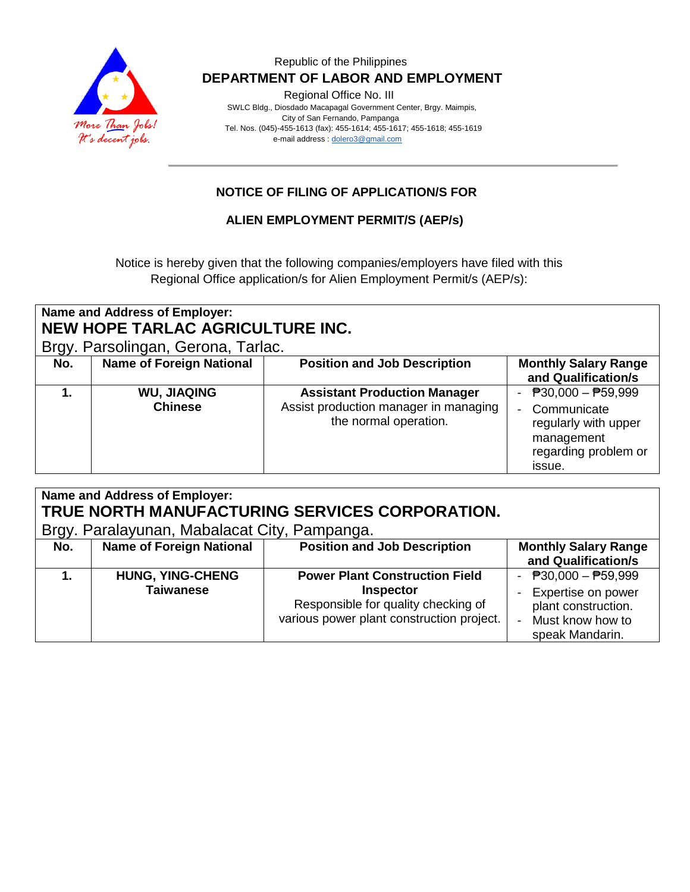

### Republic of the Philippines  **DEPARTMENT OF LABOR AND EMPLOYMENT**

Regional Office No. III

 SWLC Bldg., Diosdado Macapagal Government Center, Brgy. Maimpis, City of San Fernando, Pampanga Tel. Nos. (045)-455-1613 (fax): 455-1614; 455-1617; 455-1618; 455-1619 e-mail address [: dolero3@gmail.com](mailto:dolero3@gmail.com)

# **NOTICE OF FILING OF APPLICATION/S FOR**

### **ALIEN EMPLOYMENT PERMIT/S (AEP/s)**

Notice is hereby given that the following companies/employers have filed with this Regional Office application/s for Alien Employment Permit/s (AEP/s):

| Name and Address of Employer:    |  |  |  |  |
|----------------------------------|--|--|--|--|
| NEW HOPE TARLAC AGRICULTURE INC. |  |  |  |  |
|                                  |  |  |  |  |

Brgy. Parsolingan, Gerona, Tarlac.

| No. | <b>Name of Foreign National</b>      | <b>Position and Job Description</b>                                                                   | <b>Monthly Salary Range</b><br>and Qualification/s                                                                   |
|-----|--------------------------------------|-------------------------------------------------------------------------------------------------------|----------------------------------------------------------------------------------------------------------------------|
|     | <b>WU, JIAQING</b><br><b>Chinese</b> | <b>Assistant Production Manager</b><br>Assist production manager in managing<br>the normal operation. | <sup>₽</sup> 30,000 – ₱59,999<br>Communicate<br>regularly with upper<br>management<br>regarding problem or<br>issue. |

| Name and Address of Employer:<br>TRUE NORTH MANUFACTURING SERVICES CORPORATION. |                                 |                                           |                             |  |  |  |
|---------------------------------------------------------------------------------|---------------------------------|-------------------------------------------|-----------------------------|--|--|--|
| Brgy. Paralayunan, Mabalacat City, Pampanga.                                    |                                 |                                           |                             |  |  |  |
| No.                                                                             | <b>Name of Foreign National</b> | <b>Position and Job Description</b>       | <b>Monthly Salary Range</b> |  |  |  |
|                                                                                 |                                 |                                           | and Qualification/s         |  |  |  |
|                                                                                 | <b>HUNG, YING-CHENG</b>         | <b>Power Plant Construction Field</b>     | - $P30,000 - P59,999$       |  |  |  |
|                                                                                 | <b>Taiwanese</b>                | Inspector                                 | Expertise on power          |  |  |  |
|                                                                                 |                                 | Responsible for quality checking of       | plant construction.         |  |  |  |
|                                                                                 |                                 | various power plant construction project. | Must know how to            |  |  |  |
|                                                                                 |                                 |                                           | speak Mandarin.             |  |  |  |